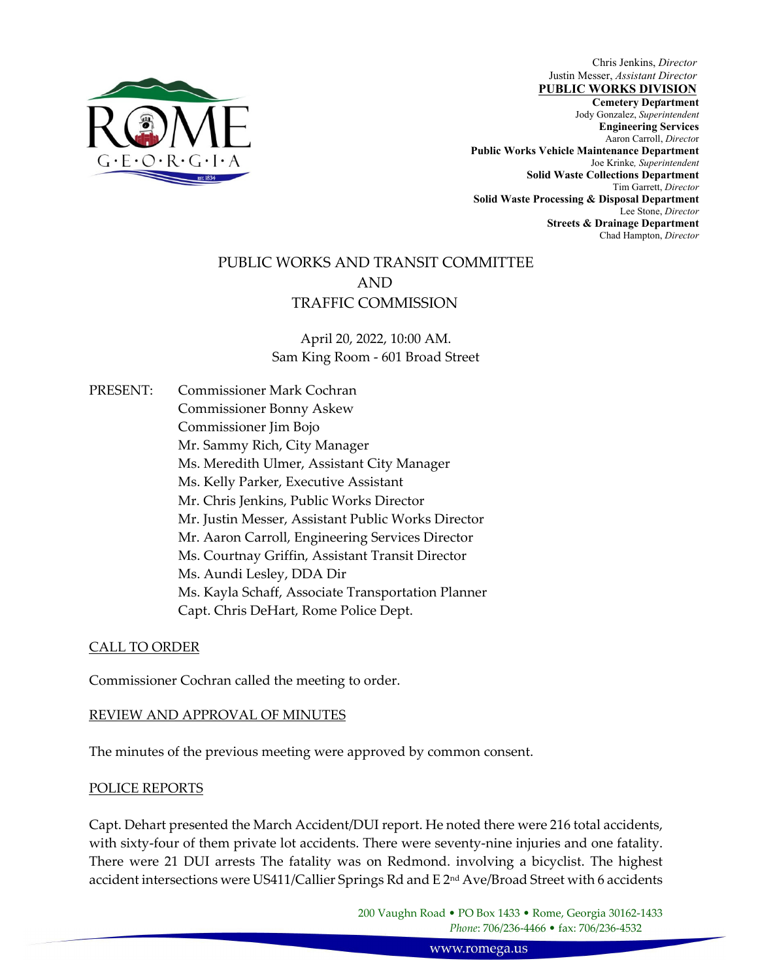

Chris Jenkins, *Director* Justin Messer, *Assistant Director*

 , **Cemetery Department**  Jody Gonzalez, *Superintendent* **Jody Gonzalez**, *Superintendent* **PUBLIC WORKS DIVISION Engineering Services**  Aaron Carroll, *Directo*r **Public Works Vehicle Maintenance Department**  Joe Krinke*, Superintendent*  **Solid Waste Collections Department**  Tim Garrett, *Director* **Solid Waste Processing & Disposal Department**  Lee Stone, *Director* **Streets & Drainage Department**  Chad Hampton, *Director* 

# PUBLIC WORKS AND TRANSIT COMMITTEE AND TRAFFIC COMMISSION

April 20, 2022, 10:00 AM. Sam King Room ‐ 601 Broad Street

PRESENT: Commissioner Mark Cochran Commissioner Bonny Askew Commissioner Jim Bojo Mr. Sammy Rich, City Manager Ms. Meredith Ulmer, Assistant City Manager Ms. Kelly Parker, Executive Assistant Mr. Chris Jenkins, Public Works Director Mr. Justin Messer, Assistant Public Works Director Mr. Aaron Carroll, Engineering Services Director Ms. Courtnay Griffin, Assistant Transit Director Ms. Aundi Lesley, DDA Dir Ms. Kayla Schaff, Associate Transportation Planner Capt. Chris DeHart, Rome Police Dept.

## CALL TO ORDER

Commissioner Cochran called the meeting to order.

## REVIEW AND APPROVAL OF MINUTES

The minutes of the previous meeting were approved by common consent.

#### POLICE REPORTS

Capt. Dehart presented the March Accident/DUI report. He noted there were 216 total accidents, with sixty-four of them private lot accidents. There were seventy-nine injuries and one fatality. There were 21 DUI arrests The fatality was on Redmond. involving a bicyclist. The highest accident intersections were US411/Callier Springs Rd and E 2<sup>nd</sup> Ave/Broad Street with 6 accidents

> 200 Vaughn Road • PO Box 1433 • Rome, Georgia 30162‐1433 *Phone*: 706/236‐4466 • fax: 706/236‐4532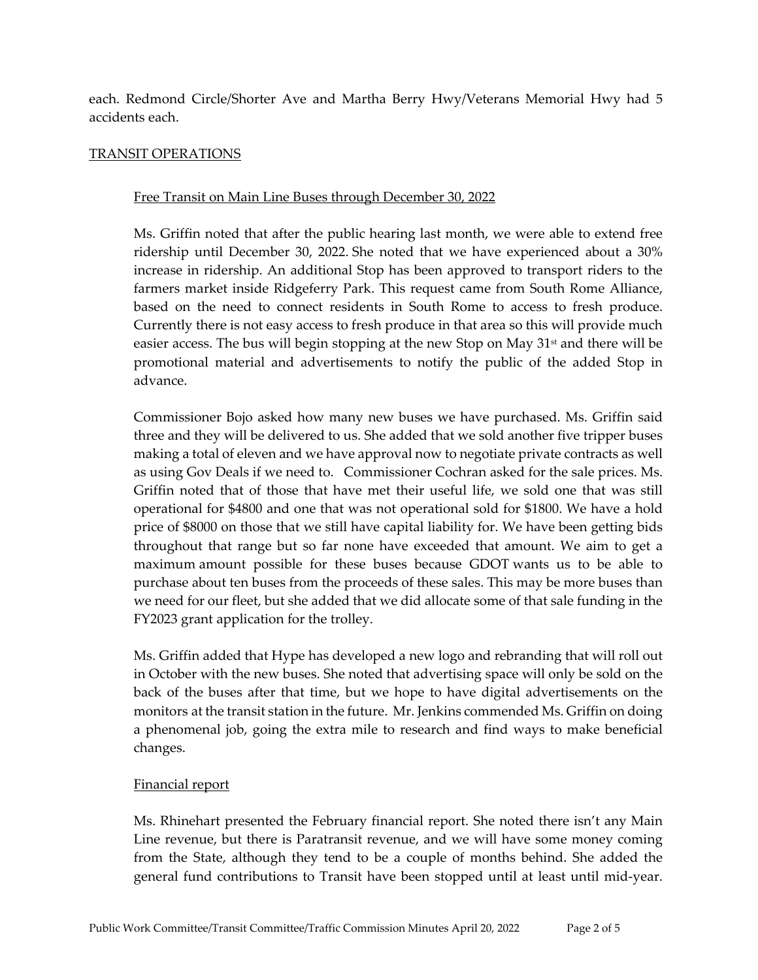each. Redmond Circle/Shorter Ave and Martha Berry Hwy/Veterans Memorial Hwy had 5 accidents each.

## TRANSIT OPERATIONS

#### Free Transit on Main Line Buses through December 30, 2022

Ms. Griffin noted that after the public hearing last month, we were able to extend free ridership until December 30, 2022. She noted that we have experienced about a 30% increase in ridership. An additional Stop has been approved to transport riders to the farmers market inside Ridgeferry Park. This request came from South Rome Alliance, based on the need to connect residents in South Rome to access to fresh produce. Currently there is not easy access to fresh produce in that area so this will provide much easier access. The bus will begin stopping at the new Stop on May  $31<sup>st</sup>$  and there will be promotional material and advertisements to notify the public of the added Stop in advance.

Commissioner Bojo asked how many new buses we have purchased. Ms. Griffin said three and they will be delivered to us. She added that we sold another five tripper buses making a total of eleven and we have approval now to negotiate private contracts as well as using Gov Deals if we need to. Commissioner Cochran asked for the sale prices. Ms. Griffin noted that of those that have met their useful life, we sold one that was still operational for \$4800 and one that was not operational sold for \$1800. We have a hold price of \$8000 on those that we still have capital liability for. We have been getting bids throughout that range but so far none have exceeded that amount. We aim to get a maximum amount possible for these buses because GDOT wants us to be able to purchase about ten buses from the proceeds of these sales. This may be more buses than we need for our fleet, but she added that we did allocate some of that sale funding in the FY2023 grant application for the trolley.

Ms. Griffin added that Hype has developed a new logo and rebranding that will roll out in October with the new buses. She noted that advertising space will only be sold on the back of the buses after that time, but we hope to have digital advertisements on the monitors at the transit station in the future. Mr. Jenkins commended Ms. Griffin on doing a phenomenal job, going the extra mile to research and find ways to make beneficial changes.

#### Financial report

Ms. Rhinehart presented the February financial report. She noted there isn't any Main Line revenue, but there is Paratransit revenue, and we will have some money coming from the State, although they tend to be a couple of months behind. She added the general fund contributions to Transit have been stopped until at least until mid‐year.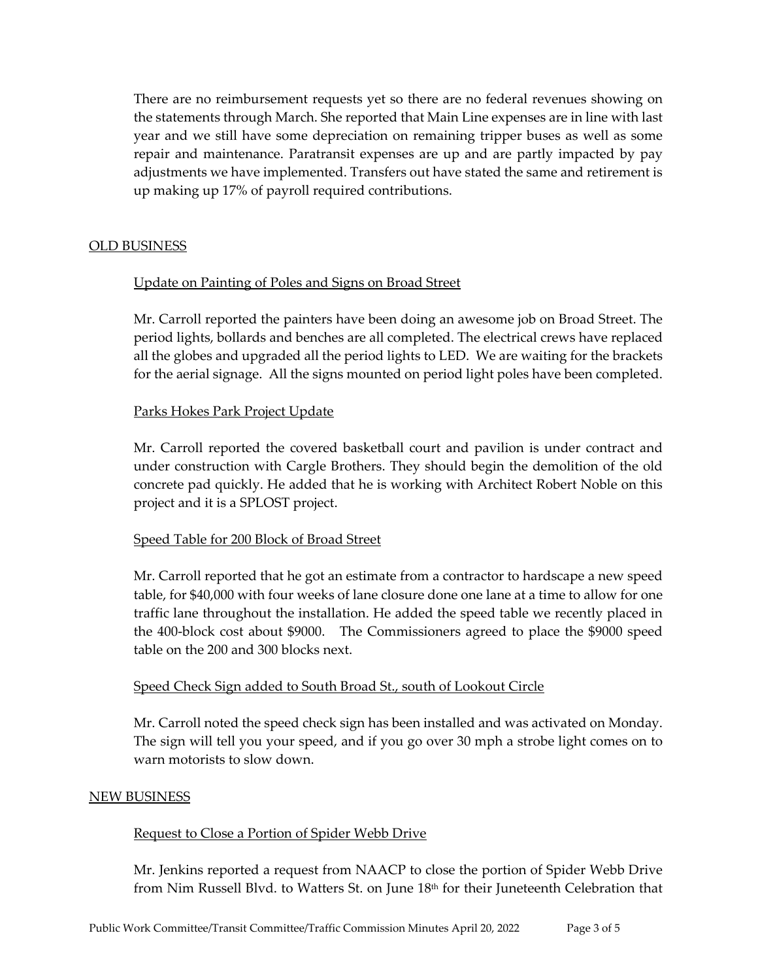There are no reimbursement requests yet so there are no federal revenues showing on the statements through March. She reported that Main Line expenses are in line with last year and we still have some depreciation on remaining tripper buses as well as some repair and maintenance. Paratransit expenses are up and are partly impacted by pay adjustments we have implemented. Transfers out have stated the same and retirement is up making up 17% of payroll required contributions.

#### OLD BUSINESS

## Update on Painting of Poles and Signs on Broad Street

Mr. Carroll reported the painters have been doing an awesome job on Broad Street. The period lights, bollards and benches are all completed. The electrical crews have replaced all the globes and upgraded all the period lights to LED. We are waiting for the brackets for the aerial signage. All the signs mounted on period light poles have been completed.

## Parks Hokes Park Project Update

Mr. Carroll reported the covered basketball court and pavilion is under contract and under construction with Cargle Brothers. They should begin the demolition of the old concrete pad quickly. He added that he is working with Architect Robert Noble on this project and it is a SPLOST project.

## Speed Table for 200 Block of Broad Street

Mr. Carroll reported that he got an estimate from a contractor to hardscape a new speed table, for \$40,000 with four weeks of lane closure done one lane at a time to allow for one traffic lane throughout the installation. He added the speed table we recently placed in the 400‐block cost about \$9000. The Commissioners agreed to place the \$9000 speed table on the 200 and 300 blocks next.

## Speed Check Sign added to South Broad St., south of Lookout Circle

Mr. Carroll noted the speed check sign has been installed and was activated on Monday. The sign will tell you your speed, and if you go over 30 mph a strobe light comes on to warn motorists to slow down.

#### NEW BUSINESS

## Request to Close a Portion of Spider Webb Drive

Mr. Jenkins reported a request from NAACP to close the portion of Spider Webb Drive from Nim Russell Blvd. to Watters St. on June 18th for their Juneteenth Celebration that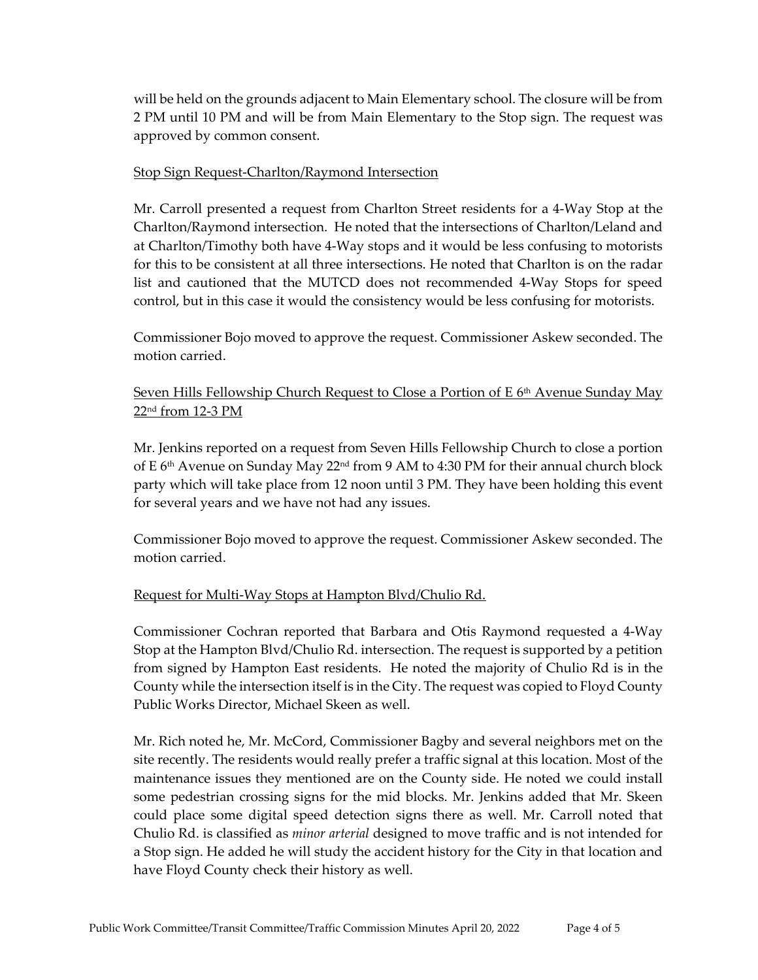will be held on the grounds adjacent to Main Elementary school. The closure will be from 2 PM until 10 PM and will be from Main Elementary to the Stop sign. The request was approved by common consent.

## Stop Sign Request‐Charlton/Raymond Intersection

Mr. Carroll presented a request from Charlton Street residents for a 4‐Way Stop at the Charlton/Raymond intersection. He noted that the intersections of Charlton/Leland and at Charlton/Timothy both have 4‐Way stops and it would be less confusing to motorists for this to be consistent at all three intersections. He noted that Charlton is on the radar list and cautioned that the MUTCD does not recommended 4‐Way Stops for speed control, but in this case it would the consistency would be less confusing for motorists.

Commissioner Bojo moved to approve the request. Commissioner Askew seconded. The motion carried.

## Seven Hills Fellowship Church Request to Close a Portion of E 6<sup>th</sup> Avenue Sunday May 22nd from 12‐3 PM

Mr. Jenkins reported on a request from Seven Hills Fellowship Church to close a portion of E  $6<sup>th</sup>$  Avenue on Sunday May 22<sup>nd</sup> from 9 AM to 4:30 PM for their annual church block party which will take place from 12 noon until 3 PM. They have been holding this event for several years and we have not had any issues.

Commissioner Bojo moved to approve the request. Commissioner Askew seconded. The motion carried.

## Request for Multi-Way Stops at Hampton Blvd/Chulio Rd.

Commissioner Cochran reported that Barbara and Otis Raymond requested a 4‐Way Stop at the Hampton Blvd/Chulio Rd. intersection. The request is supported by a petition from signed by Hampton East residents. He noted the majority of Chulio Rd is in the County while the intersection itself is in the City. The request was copied to Floyd County Public Works Director, Michael Skeen as well.

Mr. Rich noted he, Mr. McCord, Commissioner Bagby and several neighbors met on the site recently. The residents would really prefer a traffic signal at this location. Most of the maintenance issues they mentioned are on the County side. He noted we could install some pedestrian crossing signs for the mid blocks. Mr. Jenkins added that Mr. Skeen could place some digital speed detection signs there as well. Mr. Carroll noted that Chulio Rd. is classified as *minor arterial* designed to move traffic and is not intended for a Stop sign. He added he will study the accident history for the City in that location and have Floyd County check their history as well.